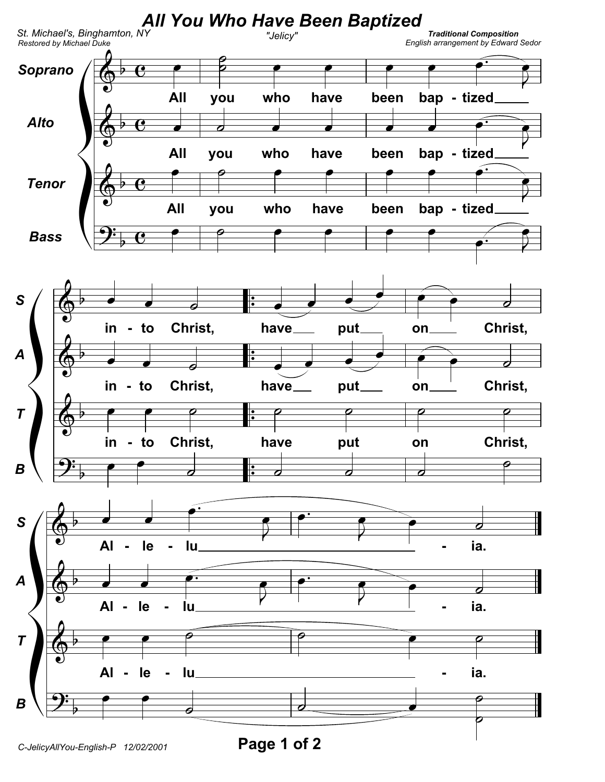

C-JelicyAllYou-English-P 12/02/2001

Page 1 of 2